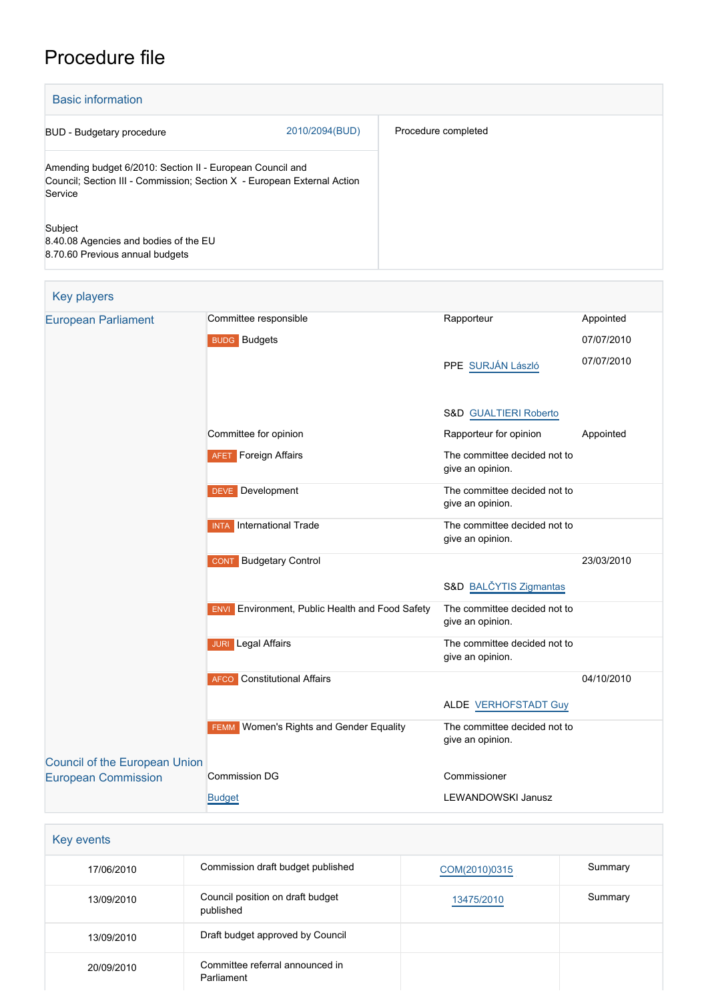# Procedure file

| <b>Basic information</b>                                                                                                                        |                |                     |  |
|-------------------------------------------------------------------------------------------------------------------------------------------------|----------------|---------------------|--|
| BUD - Budgetary procedure                                                                                                                       | 2010/2094(BUD) | Procedure completed |  |
| Amending budget 6/2010: Section II - European Council and<br>Council; Section III - Commission; Section X - European External Action<br>Service |                |                     |  |
| Subject<br>8.40.08 Agencies and bodies of the EU<br>8.70.60 Previous annual budgets                                                             |                |                     |  |

| <b>Key players</b>                   |                                                        |                                                  |            |
|--------------------------------------|--------------------------------------------------------|--------------------------------------------------|------------|
| <b>European Parliament</b>           | Committee responsible                                  | Rapporteur                                       | Appointed  |
|                                      | <b>BUDG</b> Budgets                                    |                                                  | 07/07/2010 |
|                                      |                                                        | PPE SURJÁN László                                | 07/07/2010 |
|                                      |                                                        | S&D GUALTIERI Roberto                            |            |
|                                      | Committee for opinion                                  | Rapporteur for opinion                           | Appointed  |
|                                      | <b>AFET</b> Foreign Affairs                            | The committee decided not to<br>give an opinion. |            |
|                                      | <b>DEVE</b> Development                                | The committee decided not to<br>give an opinion. |            |
|                                      | <b>INTA</b> International Trade                        | The committee decided not to<br>give an opinion. |            |
|                                      | <b>CONT</b> Budgetary Control                          |                                                  | 23/03/2010 |
|                                      |                                                        | S&D BALČYTIS Zigmantas                           |            |
|                                      | <b>ENVI</b> Environment, Public Health and Food Safety | The committee decided not to<br>give an opinion. |            |
|                                      | <b>JURI</b> Legal Affairs                              | The committee decided not to<br>give an opinion. |            |
|                                      | <b>AFCO</b> Constitutional Affairs                     |                                                  | 04/10/2010 |
|                                      |                                                        | <b>ALDE VERHOFSTADT Guy</b>                      |            |
|                                      | <b>FEMM</b> Women's Rights and Gender Equality         | The committee decided not to<br>give an opinion. |            |
| <b>Council of the European Union</b> | <b>Commission DG</b>                                   | Commissioner                                     |            |
| <b>European Commission</b>           |                                                        |                                                  |            |
|                                      | <b>Budget</b>                                          | LEWANDOWSKI Janusz                               |            |

| Key events |                                               |               |         |
|------------|-----------------------------------------------|---------------|---------|
| 17/06/2010 | Commission draft budget published             | COM(2010)0315 | Summary |
| 13/09/2010 | Council position on draft budget<br>published | 13475/2010    | Summary |
| 13/09/2010 | Draft budget approved by Council              |               |         |
| 20/09/2010 | Committee referral announced in<br>Parliament |               |         |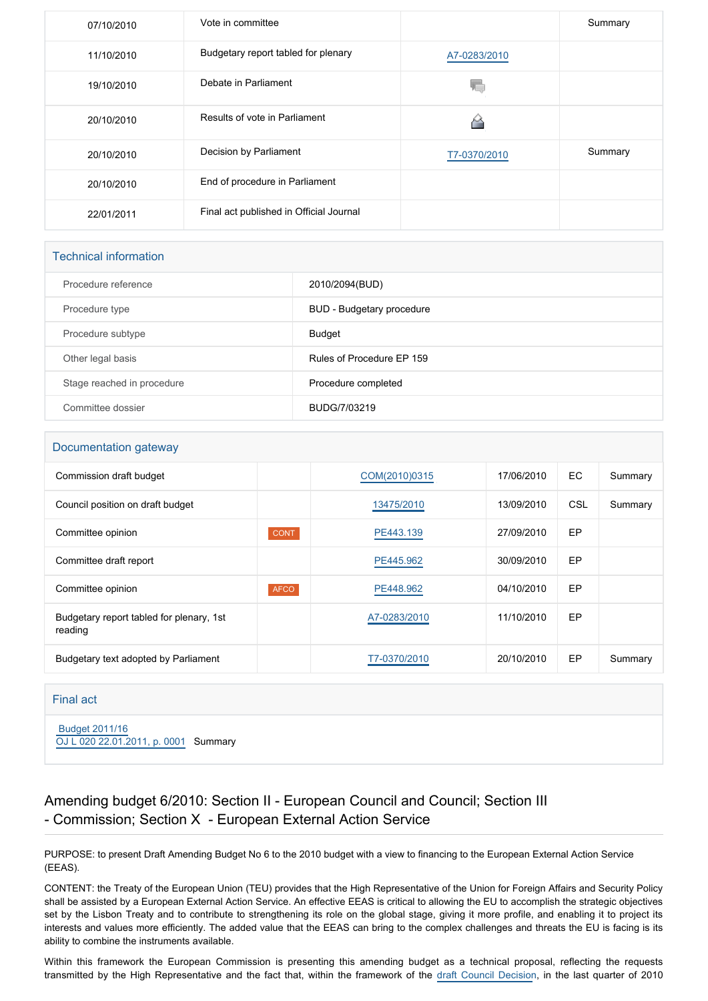| 07/10/2010 | Vote in committee                       |              | Summary |
|------------|-----------------------------------------|--------------|---------|
| 11/10/2010 | Budgetary report tabled for plenary     | A7-0283/2010 |         |
| 19/10/2010 | Debate in Parliament                    | ΥC           |         |
| 20/10/2010 | Results of vote in Parliament           | M            |         |
| 20/10/2010 | Decision by Parliament                  | T7-0370/2010 | Summary |
| 20/10/2010 | End of procedure in Parliament          |              |         |
| 22/01/2011 | Final act published in Official Journal |              |         |

#### Technical information

| Procedure reference        | 2010/2094(BUD)            |
|----------------------------|---------------------------|
| Procedure type             | BUD - Budgetary procedure |
| Procedure subtype          | Budget                    |
| Other legal basis          | Rules of Procedure EP 159 |
| Stage reached in procedure | Procedure completed       |
| Committee dossier          | BUDG/7/03219              |

## Documentation gateway Commission draft budget [COM\(2010\)0315](http://www.europarl.europa.eu/RegData/docs_autres_institutions/commission_europeenne/com/2010/0315/COM_COM(2010)0315_EN.doc) 17/06/2010 EC Summary Council position on draft budget and the council position on draft budget and the council position on draft budget Committee opinion **CONT** CONT **[PE443.139](https://www.europarl.europa.eu/doceo/document/CONT-AD-443139_EN.html)** 27/09/2010 EP Committee draft report **[PE445.962](https://www.europarl.europa.eu/doceo/document/BUDG-PR-445962_EN.html)** 2009/2010 EP Committee opinion **AFCO** AFCO [PE448.962](https://www.europarl.europa.eu/doceo/document/AFCO-AD-448962_EN.html) 04/10/2010 EP Budgetary report tabled for plenary, 1st reading [A7-0283/2010](https://www.europarl.europa.eu/doceo/document/A-7-2010-0283_EN.html) 11/10/2010 EP Budgetary text adopted by Parliament <br> [T7-0370/2010](https://www.europarl.europa.eu/doceo/document/TA-7-2010-0370_EN.html) 20/10/2010 EP Summary

#### Final act

 [Budget 2011/16](https://www.europarl.europa.eu/doceo/document/B-2-16-11B0_EN.html) [OJ L 020 22.01.2011, p. 0001](https://eur-lex.europa.eu/legal-content/EN/TXT/?uri=OJ:L:2011:020:TOC) Summary

#### Amending budget 6/2010: Section II - European Council and Council; Section III - Commission; Section X - European External Action Service

PURPOSE: to present Draft Amending Budget No 6 to the 2010 budget with a view to financing to the European External Action Service (EEAS).

CONTENT: the Treaty of the European Union (TEU) provides that the High Representative of the Union for Foreign Affairs and Security Policy shall be assisted by a European External Action Service. An effective EEAS is critical to allowing the EU to accomplish the strategic objectives set by the Lisbon Treaty and to contribute to strengthening its role on the global stage, giving it more profile, and enabling it to project its interests and values more efficiently. The added value that the EEAS can bring to the complex challenges and threats the EU is facing is its ability to combine the instruments available.

Within this framework the European Commission is presenting this amending budget as a technical proposal, reflecting the requests transmitted by the High Representative and the fact that, within the framework of the [draft Council Decision](http://www.europarl.europa.eu/oeil/FindByProcnum.do?lang=en&procnum=NLE/2010/0816), in the last quarter of 2010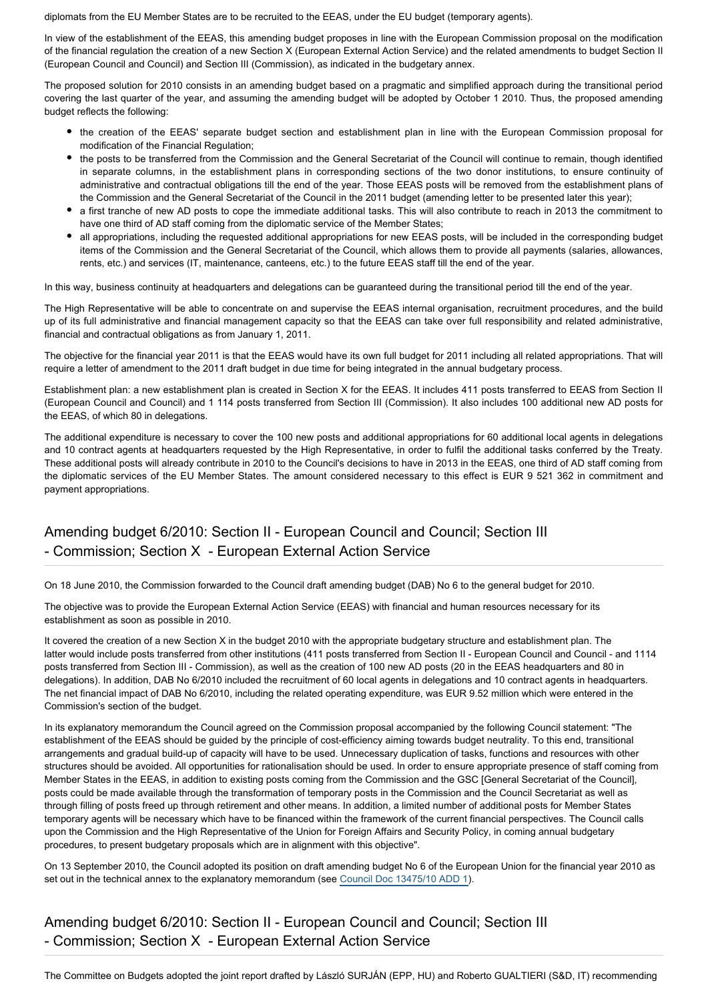diplomats from the EU Member States are to be recruited to the EEAS, under the EU budget (temporary agents).

In view of the establishment of the EEAS, this amending budget proposes in line with the European Commission proposal on the modification of the financial regulation the creation of a new Section X (European External Action Service) and the related amendments to budget Section II (European Council and Council) and Section III (Commission), as indicated in the budgetary annex.

The proposed solution for 2010 consists in an amending budget based on a pragmatic and simplified approach during the transitional period covering the last quarter of the year, and assuming the amending budget will be adopted by October 1 2010. Thus, the proposed amending budget reflects the following:

- the creation of the EEAS' separate budget section and establishment plan in line with the European Commission proposal for modification of the Financial Regulation;
- the posts to be transferred from the Commission and the General Secretariat of the Council will continue to remain, though identified in separate columns, in the establishment plans in corresponding sections of the two donor institutions, to ensure continuity of administrative and contractual obligations till the end of the year. Those EEAS posts will be removed from the establishment plans of the Commission and the General Secretariat of the Council in the 2011 budget (amending letter to be presented later this year);
- a first tranche of new AD posts to cope the immediate additional tasks. This will also contribute to reach in 2013 the commitment to have one third of AD staff coming from the diplomatic service of the Member States;
- all appropriations, including the requested additional appropriations for new EEAS posts, will be included in the corresponding budget items of the Commission and the General Secretariat of the Council, which allows them to provide all payments (salaries, allowances, rents, etc.) and services (IT, maintenance, canteens, etc.) to the future EEAS staff till the end of the year.

In this way, business continuity at headquarters and delegations can be guaranteed during the transitional period till the end of the year.

The High Representative will be able to concentrate on and supervise the EEAS internal organisation, recruitment procedures, and the build up of its full administrative and financial management capacity so that the EEAS can take over full responsibility and related administrative, financial and contractual obligations as from January 1, 2011.

The objective for the financial year 2011 is that the EEAS would have its own full budget for 2011 including all related appropriations. That will require a letter of amendment to the 2011 draft budget in due time for being integrated in the annual budgetary process.

Establishment plan: a new establishment plan is created in Section X for the EEAS. It includes 411 posts transferred to EEAS from Section II (European Council and Council) and 1 114 posts transferred from Section III (Commission). It also includes 100 additional new AD posts for the EEAS, of which 80 in delegations.

The additional expenditure is necessary to cover the 100 new posts and additional appropriations for 60 additional local agents in delegations and 10 contract agents at headquarters requested by the High Representative, in order to fulfil the additional tasks conferred by the Treaty. These additional posts will already contribute in 2010 to the Council's decisions to have in 2013 in the EEAS, one third of AD staff coming from the diplomatic services of the EU Member States. The amount considered necessary to this effect is EUR 9 521 362 in commitment and payment appropriations.

## Amending budget 6/2010: Section II - European Council and Council; Section III - Commission; Section X - European External Action Service

On 18 June 2010, the Commission forwarded to the Council draft amending budget (DAB) No 6 to the general budget for 2010.

The objective was to provide the European External Action Service (EEAS) with financial and human resources necessary for its establishment as soon as possible in 2010.

It covered the creation of a new Section X in the budget 2010 with the appropriate budgetary structure and establishment plan. The latter would include posts transferred from other institutions (411 posts transferred from Section II - European Council and Council - and 1114 posts transferred from Section III - Commission), as well as the creation of 100 new AD posts (20 in the EEAS headquarters and 80 in delegations). In addition, DAB No 6/2010 included the recruitment of 60 local agents in delegations and 10 contract agents in headquarters. The net financial impact of DAB No 6/2010, including the related operating expenditure, was EUR 9.52 million which were entered in the Commission's section of the budget.

In its explanatory memorandum the Council agreed on the Commission proposal accompanied by the following Council statement: "The establishment of the EEAS should be guided by the principle of cost-efficiency aiming towards budget neutrality. To this end, transitional arrangements and gradual build-up of capacity will have to be used. Unnecessary duplication of tasks, functions and resources with other structures should be avoided. All opportunities for rationalisation should be used. In order to ensure appropriate presence of staff coming from Member States in the EEAS, in addition to existing posts coming from the Commission and the GSC [General Secretariat of the Council], posts could be made available through the transformation of temporary posts in the Commission and the Council Secretariat as well as through filling of posts freed up through retirement and other means. In addition, a limited number of additional posts for Member States temporary agents will be necessary which have to be financed within the framework of the current financial perspectives. The Council calls upon the Commission and the High Representative of the Union for Foreign Affairs and Security Policy, in coming annual budgetary procedures, to present budgetary proposals which are in alignment with this objective".

On 13 September 2010, the Council adopted its position on draft amending budget No 6 of the European Union for the financial year 2010 as set out in the technical annex to the explanatory memorandum (see [Council Doc 13475/10 ADD 1\)](http://register.consilium.europa.eu/pdf/en/10/st13/st13475-ad01.en10.pdf).

Amending budget 6/2010: Section II - European Council and Council; Section III - Commission; Section X - European External Action Service